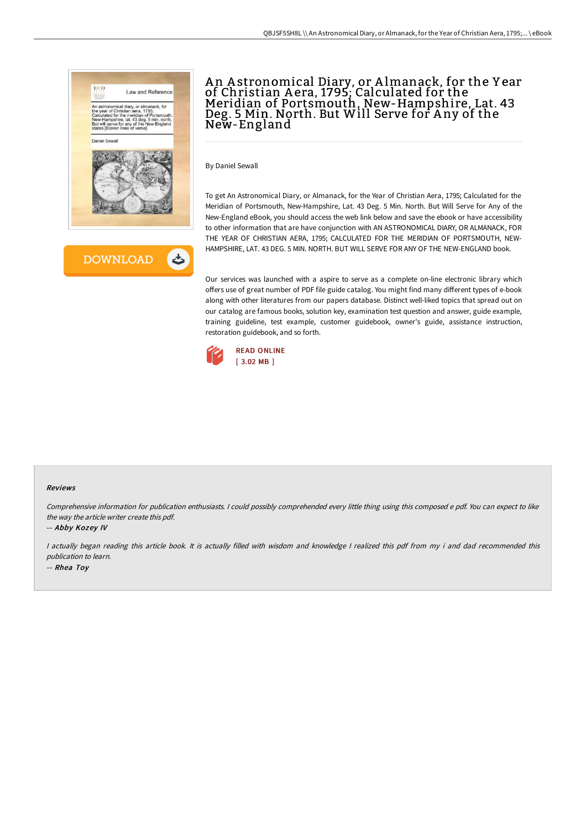

# A n A stronomical Diary, or A lmanack, for the Y ear of Christian A era, 1795; Calculated for the Meridian of Portsmouth, New-Hampshire, Lat. 43 Deg. 5 Min. North. But Will Serve for A ny of the New-England

By Daniel Sewall

To get An Astronomical Diary, or Almanack, for the Year of Christian Aera, 1795; Calculated for the Meridian of Portsmouth, New-Hampshire, Lat. 43 Deg. 5 Min. North. But Will Serve for Any of the New-England eBook, you should access the web link below and save the ebook or have accessibility to other information that are have conjunction with AN ASTRONOMICAL DIARY, OR ALMANACK, FOR THE YEAR OF CHRISTIAN AERA, 1795; CALCULATED FOR THE MERIDIAN OF PORTSMOUTH, NEW-HAMPSHIRE, LAT. 43 DEG. 5 MIN. NORTH. BUT WILL SERVE FOR ANY OF THE NEW-ENGLAND book.

Our services was launched with a aspire to serve as a complete on-line electronic library which offers use of great number of PDF file guide catalog. You might find many different types of e-book along with other literatures from our papers database. Distinct well-liked topics that spread out on our catalog are famous books, solution key, examination test question and answer, guide example, training guideline, test example, customer guidebook, owner's guide, assistance instruction, restoration guidebook, and so forth.



#### Reviews

Comprehensive information for publication enthusiasts. <sup>I</sup> could possibly comprehended every little thing using this composed <sup>e</sup> pdf. You can expect to like the way the article writer create this pdf.

-- Abby Kozey IV

<sup>I</sup> actually began reading this article book. It is actually filled with wisdom and knowledge <sup>I</sup> realized this pdf from my i and dad recommended this publication to learn.

-- Rhea Toy